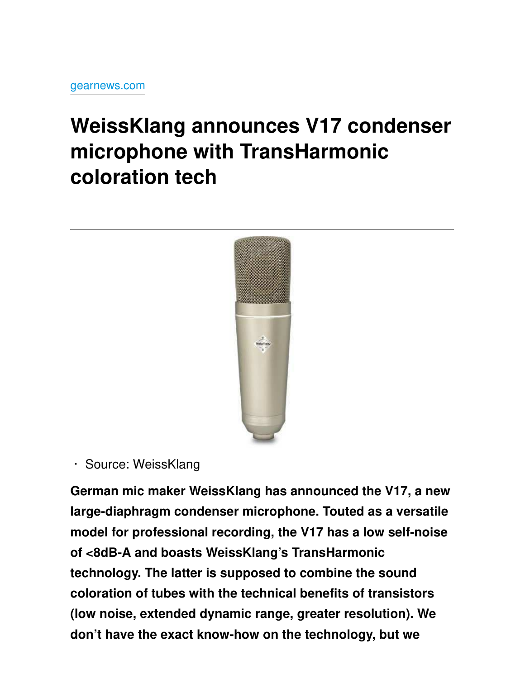## **WeissKlang announces V17 condenser** microphone with TransHarmonic coloration tech



· Source: WeissKlang

German mic maker WeissKlang has announced the V17, a new large-diaphragm condenser microphone. Touted as a versatile model for professional recording, the V17 has a low self-noise of <8dB-A and boasts WeissKlang's TransHarmonic technology. The latter is supposed to combine the sound coloration of tubes with the technical benefits of transistors (low noise, extended dynamic range, greater resolution). We don't have the exact know-how on the technology, but we